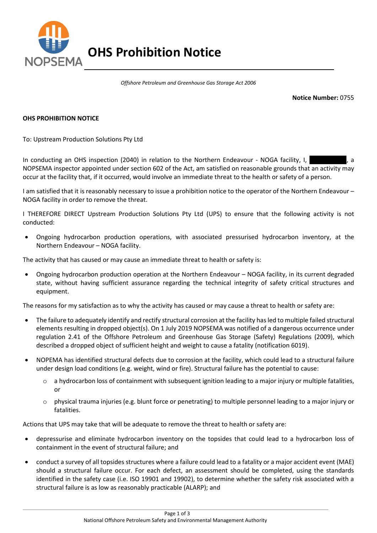

*Offshore Petroleum and Greenhouse Gas Storage Act 2006*

**Notice Number:** 0755

## **OHS PROHIBITION NOTICE**

To: Upstream Production Solutions Pty Ltd

In conducting an OHS inspection (2040) in relation to the Northern Endeavour - NOGA facility, I, and the paracter of a NOPSEMA inspector appointed under section 602 of the Act, am satisfied on reasonable grounds that an activity may occur at the facility that, if it occurred, would involve an immediate threat to the health or safety of a person.

I am satisfied that it is reasonably necessary to issue a prohibition notice to the operator of the Northern Endeavour – NOGA facility in order to remove the threat.

I THEREFORE DIRECT Upstream Production Solutions Pty Ltd (UPS) to ensure that the following activity is not conducted:

 Ongoing hydrocarbon production operations, with associated pressurised hydrocarbon inventory, at the Northern Endeavour – NOGA facility.

The activity that has caused or may cause an immediate threat to health or safety is:

 Ongoing hydrocarbon production operation at the Northern Endeavour – NOGA facility, in its current degraded state, without having sufficient assurance regarding the technical integrity of safety critical structures and equipment.

The reasons for my satisfaction as to why the activity has caused or may cause a threat to health or safety are:

- The failure to adequately identify and rectify structural corrosion at the facility has led to multiple failed structural elements resulting in dropped object(s). On 1 July 2019 NOPSEMA was notified of a dangerous occurrence under regulation 2.41 of the Offshore Petroleum and Greenhouse Gas Storage (Safety) Regulations (2009), which described a dropped object of sufficient height and weight to cause a fatality (notification 6019).
- NOPEMA has identified structural defects due to corrosion at the facility, which could lead to a structural failure under design load conditions (e.g. weight, wind or fire). Structural failure has the potential to cause:
	- $\circ$  a hydrocarbon loss of containment with subsequent ignition leading to a major injury or multiple fatalities, or
	- o physical trauma injuries (e.g. blunt force or penetrating) to multiple personnel leading to a major injury or fatalities.

Actions that UPS may take that will be adequate to remove the threat to health or safety are:

- depressurise and eliminate hydrocarbon inventory on the topsides that could lead to a hydrocarbon loss of containment in the event of structural failure; and
- conduct a survey of all topsides structures where a failure could lead to a fatality or a major accident event (MAE) should a structural failure occur. For each defect, an assessment should be completed, using the standards identified in the safety case (i.e. ISO 19901 and 19902), to determine whether the safety risk associated with a structural failure is as low as reasonably practicable (ALARP); and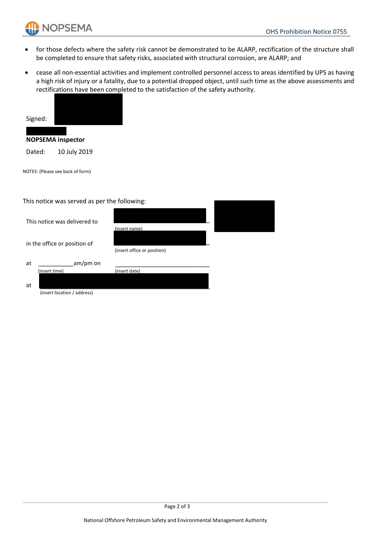

- for those defects where the safety risk cannot be demonstrated to be ALARP, rectification of the structure shall be completed to ensure that safety risks, associated with structural corrosion, are ALARP; and
- cease all non-essential activities and implement controlled personnel access to areas identified by UPS as having a high risk of injury or a fatality, due to a potential dropped object, until such time as the above assessments and rectifications have been completed to the satisfaction of the safety authority.



(insert location / address)